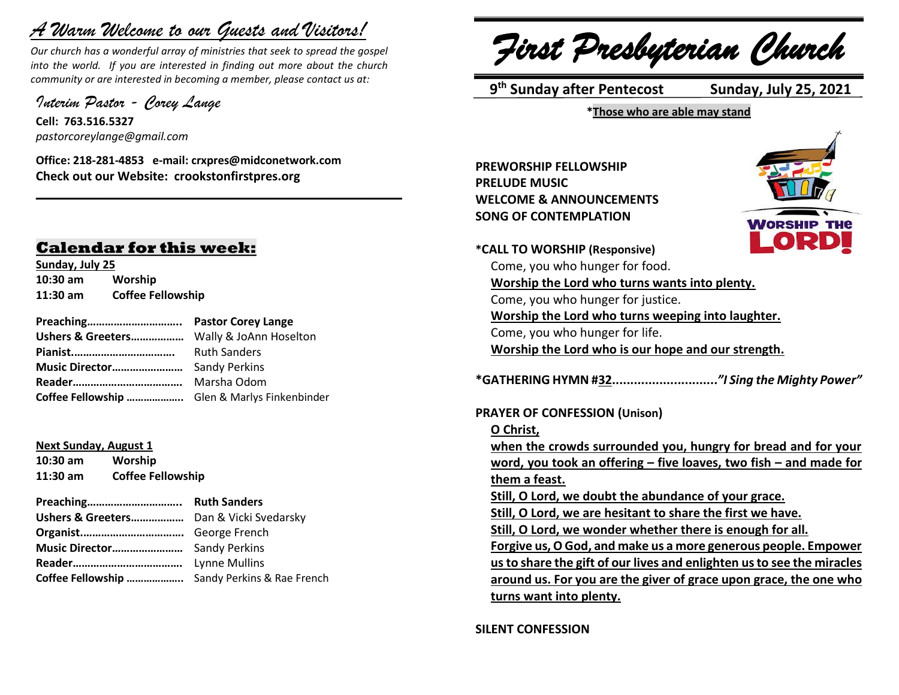# *A Warm Welcome to our Guests and Visitors!*

*Our church has a wonderful array of ministries that seek to spread the gospel into the world. If you are interested in finding out more about the church community or are interested in becoming a member, please contact us at:*

**\_\_\_\_\_\_\_\_\_\_\_\_\_\_\_\_\_\_\_\_\_\_\_\_\_\_\_\_\_\_\_\_\_\_\_\_\_\_\_\_\_\_\_\_\_\_\_\_\_\_\_\_\_\_**

*Interim Pastor - Corey Lange* 

**Cell: 763.516.5327** *pastorcoreylange@gmail.com*

**Office: 218-281-4853 e-mail: crxpres@midconetwork.com Check out our Website: crookstonfirstpres.org**

## **Calendar for this week:**

**Sunday, July 25 10:30 am Worship 11:30 am Coffee Fellowship**

| Ushers & Greeters                             | Wally & JoAnn Hoselton |
|-----------------------------------------------|------------------------|
|                                               | <b>Ruth Sanders</b>    |
|                                               |                        |
|                                               |                        |
| Coffee Fellowship  Glen & Marlys Finkenbinder |                        |

#### **Next Sunday, August 1**

| 10:30 am | Worship                  |
|----------|--------------------------|
| 11:30 am | <b>Coffee Fellowship</b> |

| Preaching         | <b>Ruth Sanders</b>   |
|-------------------|-----------------------|
| Ushers & Greeters | Dan & Vicki Svedarsky |

| Coffee Fellowship  Sandy Perkins & Rae French |  |
|-----------------------------------------------|--|

*First Presbyterian Church*

 **9 th Sunday after Pentecost Sunday, July 25, 2021**

**\*Those who are able may stand**

**PREWORSHIP FELLOWSHIP PRELUDE MUSIC WELCOME & ANNOUNCEMENTS SONG OF CONTEMPLATION**



**\*CALL TO WORSHIP (Responsive)**

Come, you who hunger for food.

**Worship the Lord who turns wants into plenty.**

Come, you who hunger for justice.

**Worship the Lord who turns weeping into laughter.**

Come, you who hunger for life.

**Worship the Lord who is our hope and our strength.**

**\*GATHERING HYMN #32.............................***"I Sing the Mighty Power"*

**PRAYER OF CONFESSION (Unison)**

#### **O Christ,**

**when the crowds surrounded you, hungry for bread and for your word, you took an offering – five loaves, two fish – and made for them a feast.** 

**Still, O Lord, we doubt the abundance of your grace.** 

**Still, O Lord, we are hesitant to share the first we have.**

**Still, O Lord, we wonder whether there is enough for all.**

**Forgive us, O God, and make us a more generous people. Empower us to share the gift of our lives and enlighten us to see the miracles around us. For you are the giver of grace upon grace, the one who turns want into plenty.**